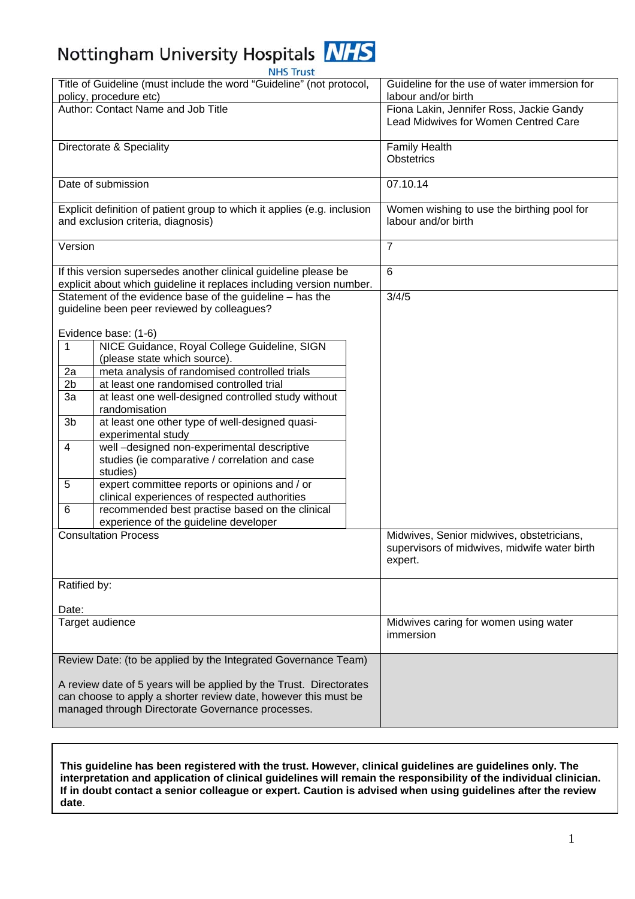# Nottingham University Hospitals NHS

| <b>NHS Trust</b>                                                         |                                                                  |                                                                                  |
|--------------------------------------------------------------------------|------------------------------------------------------------------|----------------------------------------------------------------------------------|
| Title of Guideline (must include the word "Guideline" (not protocol,     |                                                                  | Guideline for the use of water immersion for                                     |
| policy, procedure etc)                                                   |                                                                  | labour and/or birth                                                              |
| Author: Contact Name and Job Title                                       |                                                                  | Fiona Lakin, Jennifer Ross, Jackie Gandy<br>Lead Midwives for Women Centred Care |
| Directorate & Speciality                                                 |                                                                  | <b>Family Health</b>                                                             |
|                                                                          |                                                                  | <b>Obstetrics</b>                                                                |
|                                                                          |                                                                  |                                                                                  |
| Date of submission                                                       |                                                                  | 07.10.14                                                                         |
| Explicit definition of patient group to which it applies (e.g. inclusion |                                                                  | Women wishing to use the birthing pool for                                       |
| and exclusion criteria, diagnosis)                                       |                                                                  | labour and/or birth                                                              |
| Version                                                                  |                                                                  | $\overline{7}$                                                                   |
| If this version supersedes another clinical guideline please be          |                                                                  | 6                                                                                |
| explicit about which guideline it replaces including version number.     |                                                                  |                                                                                  |
| Statement of the evidence base of the guideline - has the                |                                                                  | 3/4/5                                                                            |
| guideline been peer reviewed by colleagues?                              |                                                                  |                                                                                  |
|                                                                          |                                                                  |                                                                                  |
|                                                                          | Evidence base: (1-6)                                             |                                                                                  |
| $\mathbf{1}$                                                             | NICE Guidance, Royal College Guideline, SIGN                     |                                                                                  |
|                                                                          | (please state which source).                                     |                                                                                  |
| 2a                                                                       | meta analysis of randomised controlled trials                    |                                                                                  |
| 2 <sub>b</sub>                                                           | at least one randomised controlled trial                         |                                                                                  |
| 3a                                                                       | at least one well-designed controlled study without              |                                                                                  |
|                                                                          | randomisation                                                    |                                                                                  |
| 3b                                                                       | at least one other type of well-designed quasi-                  |                                                                                  |
| 4                                                                        | experimental study<br>well-designed non-experimental descriptive |                                                                                  |
|                                                                          | studies (ie comparative / correlation and case                   |                                                                                  |
|                                                                          | studies)                                                         |                                                                                  |
| $\overline{5}$                                                           | expert committee reports or opinions and / or                    |                                                                                  |
|                                                                          | clinical experiences of respected authorities                    |                                                                                  |
| 6                                                                        | recommended best practise based on the clinical                  |                                                                                  |
|                                                                          | experience of the guideline developer                            |                                                                                  |
|                                                                          | <b>Consultation Process</b>                                      | Midwives, Senior midwives, obstetricians,                                        |
|                                                                          |                                                                  | supervisors of midwives, midwife water birth<br>expert.                          |
|                                                                          |                                                                  |                                                                                  |
| Ratified by:                                                             |                                                                  |                                                                                  |
|                                                                          |                                                                  |                                                                                  |
| Date:<br>Target audience                                                 |                                                                  |                                                                                  |
|                                                                          |                                                                  | Midwives caring for women using water<br>immersion                               |
| Review Date: (to be applied by the Integrated Governance Team)           |                                                                  |                                                                                  |
| A review date of 5 years will be applied by the Trust. Directorates      |                                                                  |                                                                                  |
| can choose to apply a shorter review date, however this must be          |                                                                  |                                                                                  |
|                                                                          | managed through Directorate Governance processes.                |                                                                                  |
|                                                                          |                                                                  |                                                                                  |
|                                                                          |                                                                  |                                                                                  |

**This guideline has been registered with the trust. However, clinical guidelines are guidelines only. The interpretation and application of clinical guidelines will remain the responsibility of the individual clinician. If in doubt contact a senior colleague or expert. Caution is advised when using guidelines after the review date**.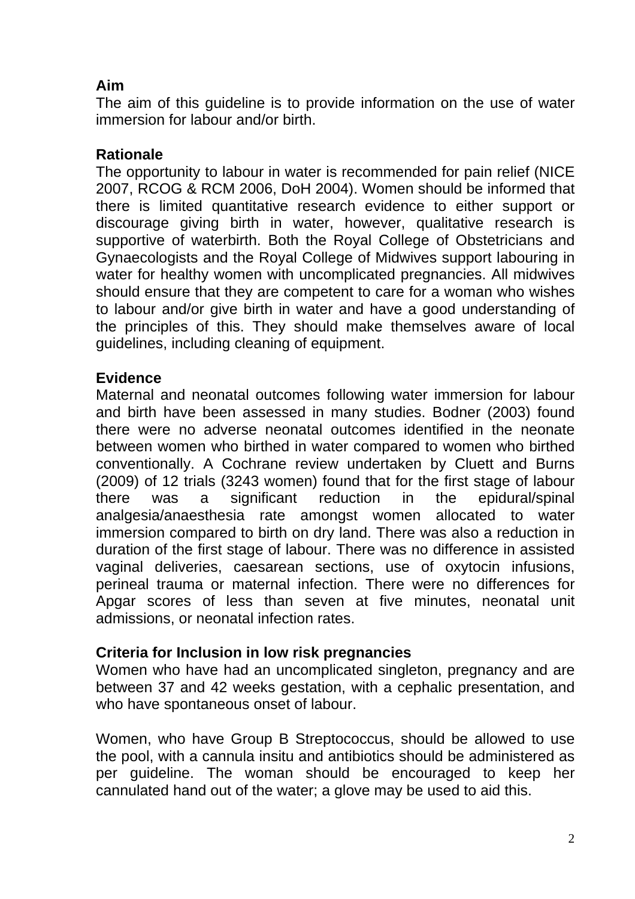# **Aim**

The aim of this guideline is to provide information on the use of water immersion for labour and/or birth.

## **Rationale**

The opportunity to labour in water is recommended for pain relief (NICE 2007, RCOG & RCM 2006, DoH 2004). Women should be informed that there is limited quantitative research evidence to either support or discourage giving birth in water, however, qualitative research is supportive of waterbirth. Both the Royal College of Obstetricians and Gynaecologists and the Royal College of Midwives support labouring in water for healthy women with uncomplicated pregnancies. All midwives should ensure that they are competent to care for a woman who wishes to labour and/or give birth in water and have a good understanding of the principles of this. They should make themselves aware of local guidelines, including cleaning of equipment.

## **Evidence**

Maternal and neonatal outcomes following water immersion for labour and birth have been assessed in many studies. Bodner (2003) found there were no adverse neonatal outcomes identified in the neonate between women who birthed in water compared to women who birthed conventionally. A Cochrane review undertaken by Cluett and Burns (2009) of 12 trials (3243 women) found that for the first stage of labour there was a significant reduction in the epidural/spinal analgesia/anaesthesia rate amongst women allocated to water immersion compared to birth on dry land. There was also a reduction in duration of the first stage of labour. There was no difference in assisted vaginal deliveries, caesarean sections, use of oxytocin infusions, perineal trauma or maternal infection. There were no differences for Apgar scores of less than seven at five minutes, neonatal unit admissions, or neonatal infection rates.

## **Criteria for Inclusion in low risk pregnancies**

Women who have had an uncomplicated singleton, pregnancy and are between 37 and 42 weeks gestation, with a cephalic presentation, and who have spontaneous onset of labour.

Women, who have Group B Streptococcus, should be allowed to use the pool, with a cannula insitu and antibiotics should be administered as per guideline. The woman should be encouraged to keep her cannulated hand out of the water; a glove may be used to aid this.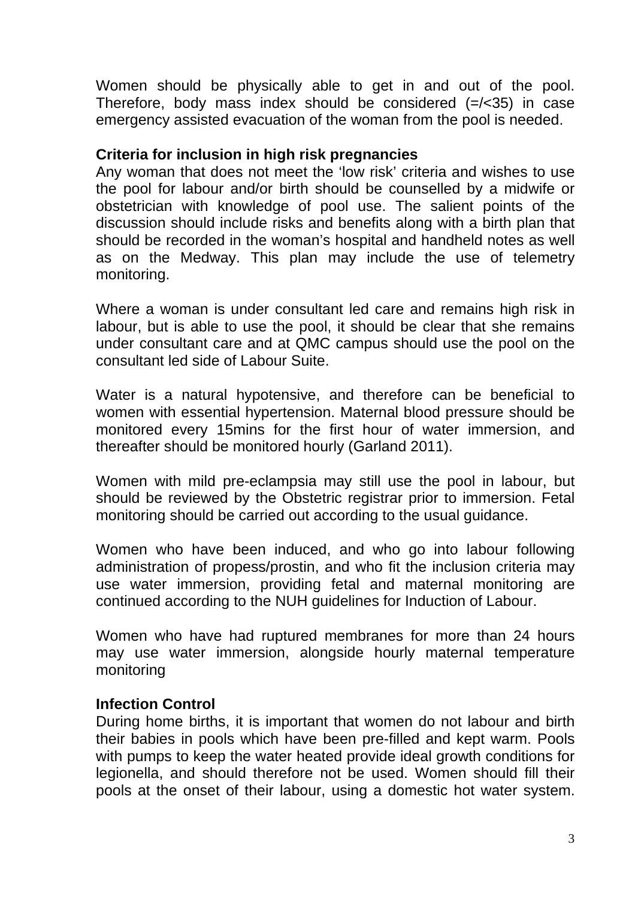Women should be physically able to get in and out of the pool. Therefore, body mass index should be considered (=/<35) in case emergency assisted evacuation of the woman from the pool is needed.

## **Criteria for inclusion in high risk pregnancies**

Any woman that does not meet the 'low risk' criteria and wishes to use the pool for labour and/or birth should be counselled by a midwife or obstetrician with knowledge of pool use. The salient points of the discussion should include risks and benefits along with a birth plan that should be recorded in the woman's hospital and handheld notes as well as on the Medway. This plan may include the use of telemetry monitoring.

Where a woman is under consultant led care and remains high risk in labour, but is able to use the pool, it should be clear that she remains under consultant care and at QMC campus should use the pool on the consultant led side of Labour Suite.

Water is a natural hypotensive, and therefore can be beneficial to women with essential hypertension. Maternal blood pressure should be monitored every 15mins for the first hour of water immersion, and thereafter should be monitored hourly (Garland 2011).

Women with mild pre-eclampsia may still use the pool in labour, but should be reviewed by the Obstetric registrar prior to immersion. Fetal monitoring should be carried out according to the usual guidance.

Women who have been induced, and who go into labour following administration of propess/prostin, and who fit the inclusion criteria may use water immersion, providing fetal and maternal monitoring are continued according to the NUH guidelines for Induction of Labour.

Women who have had ruptured membranes for more than 24 hours may use water immersion, alongside hourly maternal temperature monitoring

#### **Infection Control**

During home births, it is important that women do not labour and birth their babies in pools which have been pre-filled and kept warm. Pools with pumps to keep the water heated provide ideal growth conditions for legionella, and should therefore not be used. Women should fill their pools at the onset of their labour, using a domestic hot water system.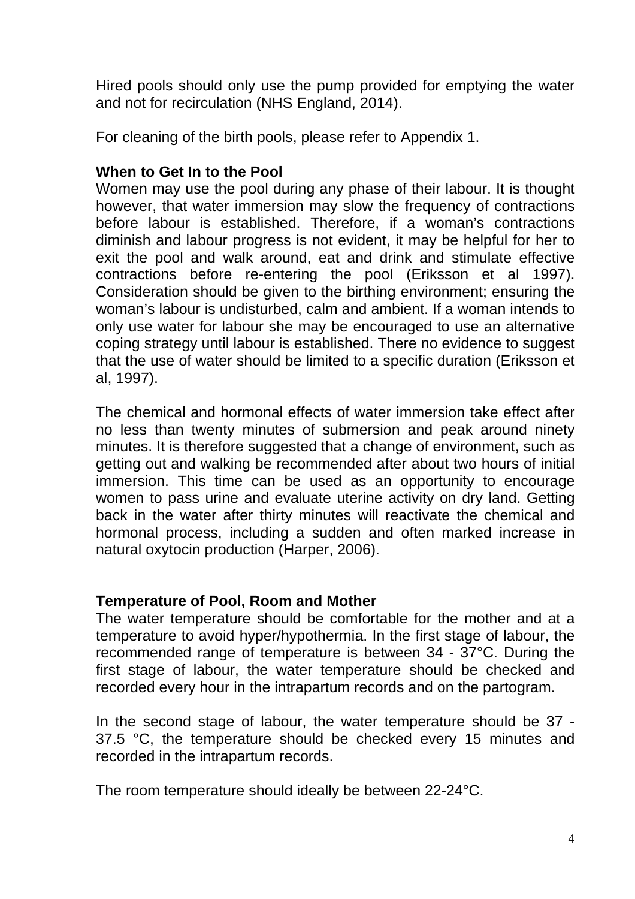Hired pools should only use the pump provided for emptying the water and not for recirculation (NHS England, 2014).

For cleaning of the birth pools, please refer to Appendix 1.

## **When to Get In to the Pool**

Women may use the pool during any phase of their labour. It is thought however, that water immersion may slow the frequency of contractions before labour is established. Therefore, if a woman's contractions diminish and labour progress is not evident, it may be helpful for her to exit the pool and walk around, eat and drink and stimulate effective contractions before re-entering the pool (Eriksson et al 1997). Consideration should be given to the birthing environment; ensuring the woman's labour is undisturbed, calm and ambient. If a woman intends to only use water for labour she may be encouraged to use an alternative coping strategy until labour is established. There no evidence to suggest that the use of water should be limited to a specific duration (Eriksson et al, 1997).

The chemical and hormonal effects of water immersion take effect after no less than twenty minutes of submersion and peak around ninety minutes. It is therefore suggested that a change of environment, such as getting out and walking be recommended after about two hours of initial immersion. This time can be used as an opportunity to encourage women to pass urine and evaluate uterine activity on dry land. Getting back in the water after thirty minutes will reactivate the chemical and hormonal process, including a sudden and often marked increase in natural oxytocin production (Harper, 2006).

## **Temperature of Pool, Room and Mother**

The water temperature should be comfortable for the mother and at a temperature to avoid hyper/hypothermia. In the first stage of labour, the recommended range of temperature is between 34 - 37°C. During the first stage of labour, the water temperature should be checked and recorded every hour in the intrapartum records and on the partogram.

In the second stage of labour, the water temperature should be 37 - 37.5 °C, the temperature should be checked every 15 minutes and recorded in the intrapartum records.

The room temperature should ideally be between 22-24°C.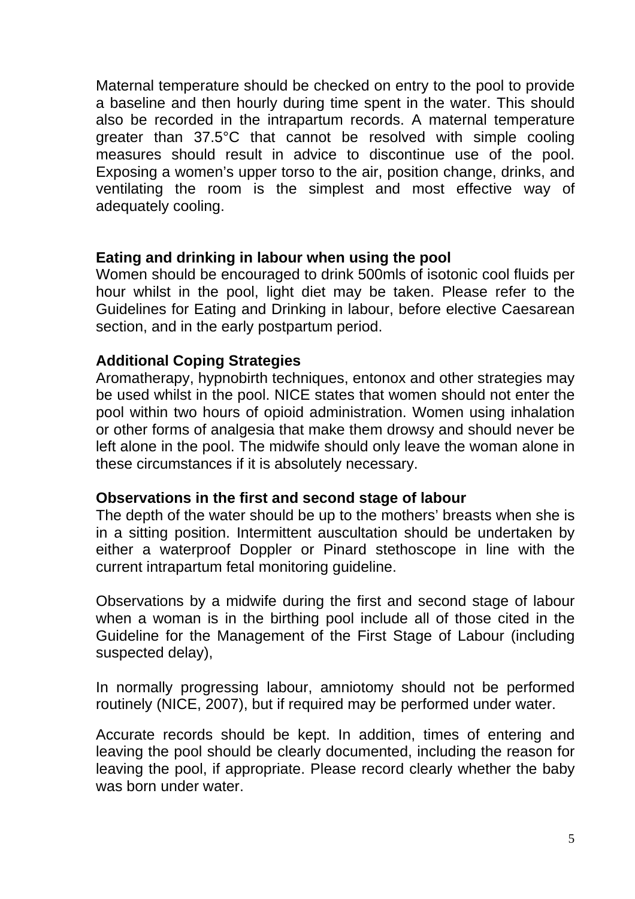Maternal temperature should be checked on entry to the pool to provide a baseline and then hourly during time spent in the water. This should also be recorded in the intrapartum records. A maternal temperature greater than 37.5°C that cannot be resolved with simple cooling measures should result in advice to discontinue use of the pool. Exposing a women's upper torso to the air, position change, drinks, and ventilating the room is the simplest and most effective way of adequately cooling.

#### **Eating and drinking in labour when using the pool**

Women should be encouraged to drink 500mls of isotonic cool fluids per hour whilst in the pool, light diet may be taken. Please refer to the Guidelines for Eating and Drinking in labour, before elective Caesarean section, and in the early postpartum period.

## **Additional Coping Strategies**

Aromatherapy, hypnobirth techniques, entonox and other strategies may be used whilst in the pool. NICE states that women should not enter the pool within two hours of opioid administration. Women using inhalation or other forms of analgesia that make them drowsy and should never be left alone in the pool. The midwife should only leave the woman alone in these circumstances if it is absolutely necessary.

## **Observations in the first and second stage of labour**

The depth of the water should be up to the mothers' breasts when she is in a sitting position. Intermittent auscultation should be undertaken by either a waterproof Doppler or Pinard stethoscope in line with the current intrapartum fetal monitoring guideline.

Observations by a midwife during the first and second stage of labour when a woman is in the birthing pool include all of those cited in the Guideline for the Management of the First Stage of Labour (including suspected delay),

In normally progressing labour, amniotomy should not be performed routinely (NICE, 2007), but if required may be performed under water.

Accurate records should be kept. In addition, times of entering and leaving the pool should be clearly documented, including the reason for leaving the pool, if appropriate. Please record clearly whether the baby was born under water.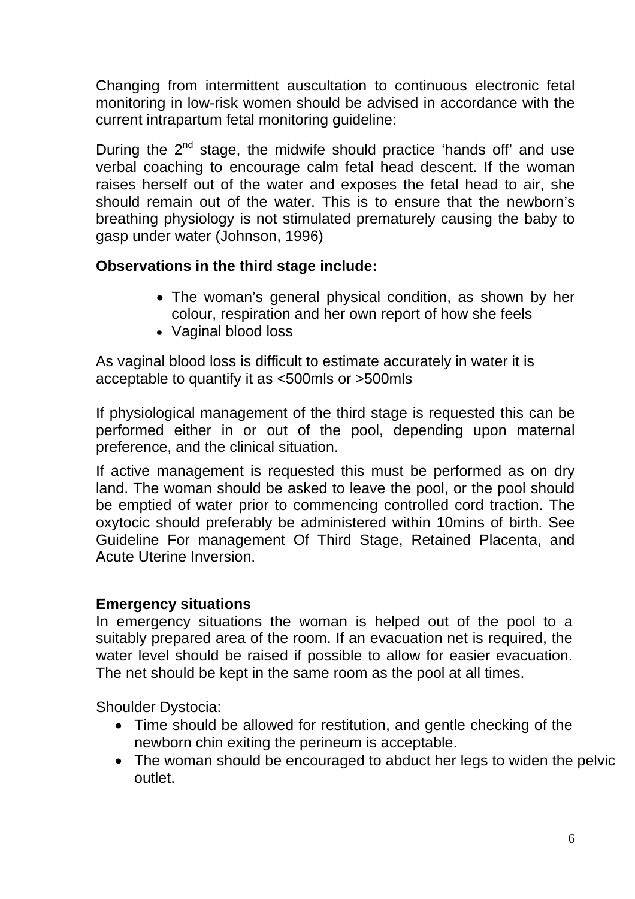Changing from intermittent auscultation to continuous electronic fetal monitoring in low-risk women should be advised in accordance with the current intrapartum fetal monitoring guideline:

During the 2<sup>nd</sup> stage, the midwife should practice 'hands off' and use verbal coaching to encourage calm fetal head descent. If the woman raises herself out of the water and exposes the fetal head to air, she should remain out of the water. This is to ensure that the newborn's breathing physiology is not stimulated prematurely causing the baby to gasp under water (Johnson, 1996)

## **Observations in the third stage include:**

- The woman's general physical condition, as shown by her colour, respiration and her own report of how she feels
- Vaginal blood loss

As vaginal blood loss is difficult to estimate accurately in water it is acceptable to quantify it as <500mls or >500mls

If physiological management of the third stage is requested this can be performed either in or out of the pool, depending upon maternal preference, and the clinical situation.

If active management is requested this must be performed as on dry land. The woman should be asked to leave the pool, or the pool should be emptied of water prior to commencing controlled cord traction. The oxytocic should preferably be administered within 10mins of birth. See Guideline For management Of Third Stage, Retained Placenta, and Acute Uterine Inversion.

## **Emergency situations**

In emergency situations the woman is helped out of the pool to a suitably prepared area of the room. If an evacuation net is required, the water level should be raised if possible to allow for easier evacuation. The net should be kept in the same room as the pool at all times.

Shoulder Dystocia:

- Time should be allowed for restitution, and gentle checking of the newborn chin exiting the perineum is acceptable.
- The woman should be encouraged to abduct her legs to widen the pelvic outlet.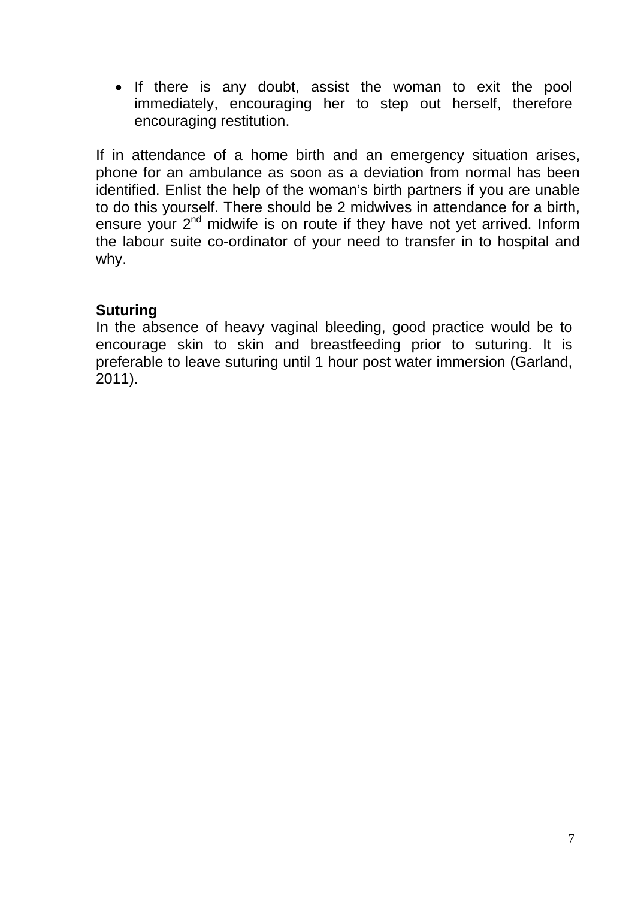• If there is any doubt, assist the woman to exit the pool immediately, encouraging her to step out herself, therefore encouraging restitution.

If in attendance of a home birth and an emergency situation arises, phone for an ambulance as soon as a deviation from normal has been identified. Enlist the help of the woman's birth partners if you are unable to do this yourself. There should be 2 midwives in attendance for a birth, ensure your  $2<sup>nd</sup>$  midwife is on route if they have not yet arrived. Inform the labour suite co-ordinator of your need to transfer in to hospital and why.

## **Suturing**

In the absence of heavy vaginal bleeding, good practice would be to encourage skin to skin and breastfeeding prior to suturing. It is preferable to leave suturing until 1 hour post water immersion (Garland, 2011).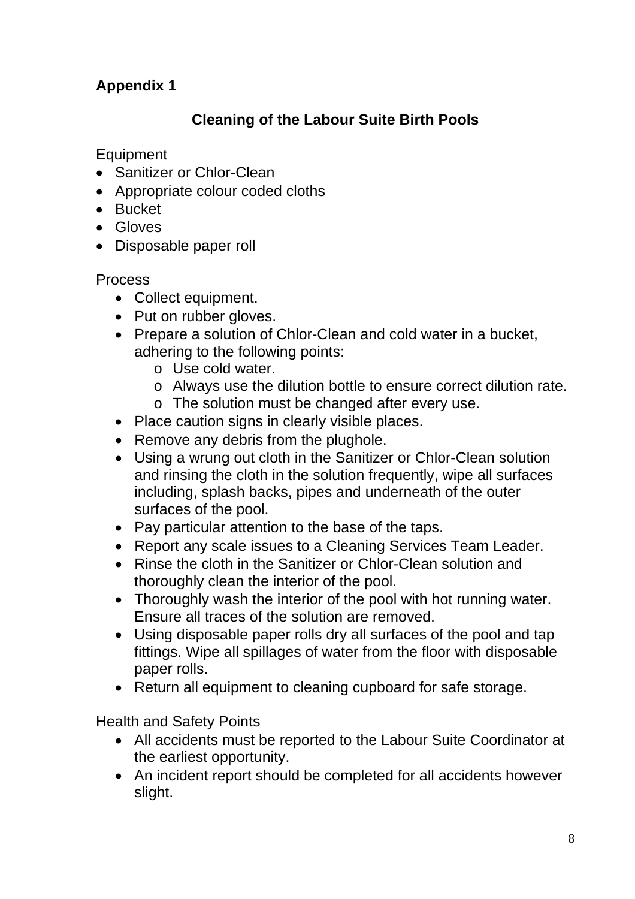# **Appendix 1**

## **Cleaning of the Labour Suite Birth Pools**

**Equipment** 

- Sanitizer or Chlor-Clean
- Appropriate colour coded cloths
- Bucket
- Gloves
- Disposable paper roll

Process

- Collect equipment.
- Put on rubber gloves.
- Prepare a solution of Chlor-Clean and cold water in a bucket, adhering to the following points:
	- o Use cold water.
	- o Always use the dilution bottle to ensure correct dilution rate.
	- o The solution must be changed after every use.
- Place caution signs in clearly visible places.
- Remove any debris from the plughole.
- Using a wrung out cloth in the Sanitizer or Chlor-Clean solution and rinsing the cloth in the solution frequently, wipe all surfaces including, splash backs, pipes and underneath of the outer surfaces of the pool.
- Pay particular attention to the base of the taps.
- Report any scale issues to a Cleaning Services Team Leader.
- Rinse the cloth in the Sanitizer or Chlor-Clean solution and thoroughly clean the interior of the pool.
- Thoroughly wash the interior of the pool with hot running water. Ensure all traces of the solution are removed.
- Using disposable paper rolls dry all surfaces of the pool and tap fittings. Wipe all spillages of water from the floor with disposable paper rolls.
- Return all equipment to cleaning cupboard for safe storage.

Health and Safety Points

- All accidents must be reported to the Labour Suite Coordinator at the earliest opportunity.
- An incident report should be completed for all accidents however slight.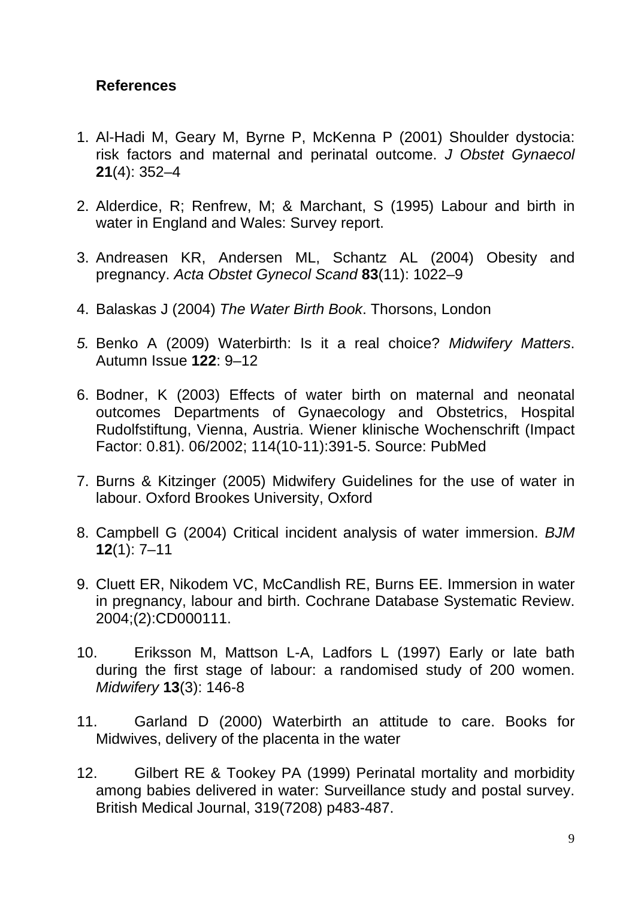## **References**

- 1. Al-Hadi M, Geary M, Byrne P, McKenna P (2001) Shoulder dystocia: risk factors and maternal and perinatal outcome. *J Obstet Gynaecol*  **21**(4): 352–4
- 2. Alderdice, R; Renfrew, M; & Marchant, S (1995) Labour and birth in water in England and Wales: Survey report.
- 3. Andreasen KR, Andersen ML, Schantz AL (2004) Obesity and pregnancy. *Acta Obstet Gynecol Scand* **83**(11): 1022–9
- 4. Balaskas J (2004) *The Water Birth Book*. Thorsons, London
- *5.* Benko A (2009) Waterbirth: Is it a real choice? *Midwifery Matters*. Autumn Issue **122**: 9–12
- 6. Bodner, K (2003) Effects of water birth on maternal and neonatal outcomes Departments of Gynaecology and Obstetrics, Hospital Rudolfstiftung, Vienna, Austria. Wiener klinische Wochenschrift (Impact Factor: 0.81). 06/2002; 114(10-11):391-5. Source: PubMed
- 7. Burns & Kitzinger (2005) Midwifery Guidelines for the use of water in labour. Oxford Brookes University, Oxford
- 8. Campbell G (2004) Critical incident analysis of water immersion. *BJM*  **12**(1): 7–11
- 9. Cluett ER, Nikodem VC, McCandlish RE, Burns EE. Immersion in water in pregnancy, labour and birth. Cochrane Database Systematic Review. 2004;(2):CD000111.
- 10. Eriksson M, Mattson L-A, Ladfors L (1997) Early or late bath during the first stage of labour: a randomised study of 200 women. *Midwifery* **13**(3): 146-8
- 11. Garland D (2000) Waterbirth an attitude to care. Books for Midwives, delivery of the placenta in the water
- 12. Gilbert RE & Tookey PA (1999) Perinatal mortality and morbidity among babies delivered in water: Surveillance study and postal survey. British Medical Journal, 319(7208) p483-487.